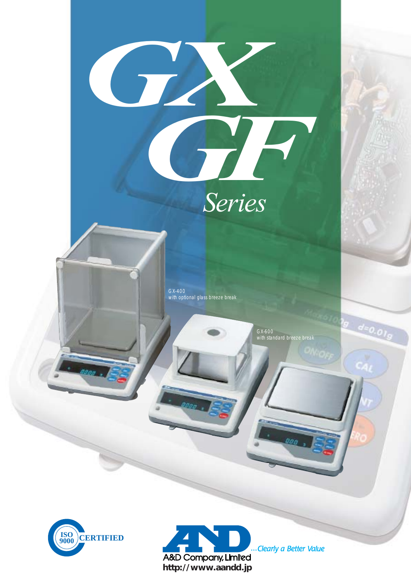

A&D Company, Limited **http://www.aandd.jp**

...Clearly a Better Value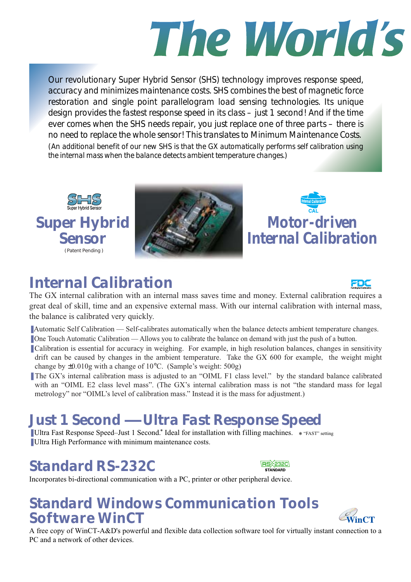# The *World's*

*Our revolutionary Super Hybrid Sensor (SHS) technology improves response speed, accuracy and minimizes maintenance costs. SHS combines the best of magnetic force restoration and single point parallelogram load sensing technologies. Its unique design provides the fastest response speed in its class – just 1 second! And if the time ever comes when the SHS needs repair, you just replace one of three parts – there is no need to replace the whole sensor! This translates to Minimum Maintenance Costs. (An additional benefit of our new SHS is that the GX automatically performs self calibration using the internal mass when the balance detects ambient temperature changes.)*





*Motor-driven Internal Calibration*

## *Internal Calibration*



The GX internal calibration with an internal mass saves time and money. External calibration requires a great deal of skill, time and an expensive external mass. With our internal calibration with internal mass, the balance is calibrated very quickly.

- Automatic Self Calibration Self-calibrates automatically when the balance detects ambient temperature changes.
- One Touch Automatic Calibration Allows you to calibrate the balance on demand with just the push of a button.
- Calibration is essential for accuracy in weighing. For example, in high resolution balances, changes in sensitivity drift can be caused by changes in the ambient temperature. Take the GX 600 for example, the weight might change by ±0.010g with a change of 10°C. (Sample's weight: 500g)
- The GX's internal calibration mass is adjusted to an "OIML F1 class level." by the standard balance calibrated with an "OIML E2 class level mass". (The GX's internal calibration mass is not "the standard mass for legal metrology" nor "OIML's level of calibration mass." Instead it is the mass for adjustment.)

## *Just 1 Second — Ultra Fast Response Speed*

■ Ultra Fast Response Speed–Just 1 Second.\* Ideal for installation with filling machines. \* "FAST" setting ■ Ultra High Performance with minimum maintenance costs.

## *Standard RS-232C*



Incorporates bi-directional communication with a PC, printer or other peripheral device.

### *Standard Windows Communication Tools Software WinCT*



A free copy of WinCT-A&D's powerful and flexible data collection software tool for virtually instant connection to a PC and a network of other devices.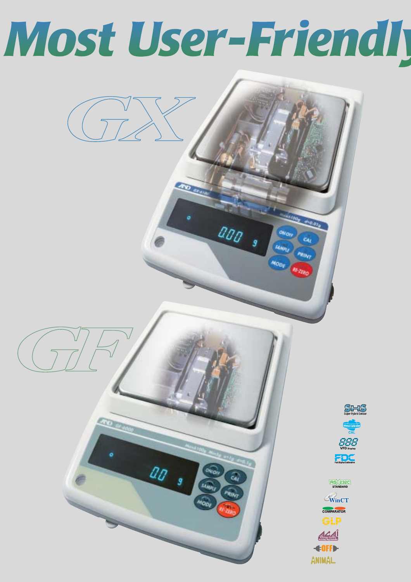# Most User-Friendly

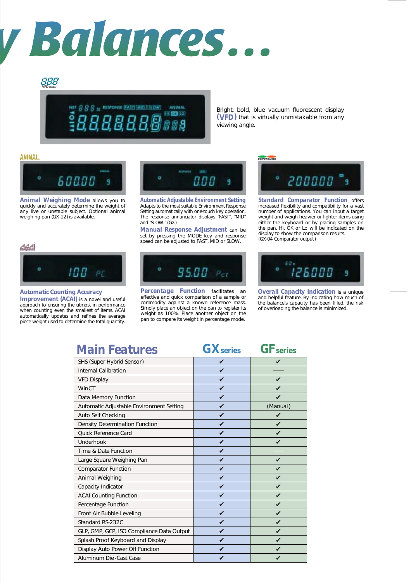# y Balances...

#### 888 **VFD Display**

RESPONSE FAST MID | SLOW) **ANIMAL** 940 800 300

Bright, bold, blue vacuum fluorescent display *(VFD)* that is virtually unmistakable from any viewing angle.

#### **ANIMAL**



*Animal Weighing Mode* allows you to quickly and accurately determine the weight of any live or unstable subject. Optional animal weighing pan (GX-12) is available.



*Automatic Adjustable Environment Setting* Adapts to the most suitable Environment Response Setting automatically with one-touch key operation. The response annunciator displays "FAST", "MID" and "SLOW." (GX)

*Manual Response Adjustment* can be set by pressing the MODE key and response speed can be adjusted to FAST, MID or SLOW.





*Automatic Counting Accuracy Improvement (ACAI)* is a novel and useful approach to ensuring the utmost in performance when counting even the smallest of items. ACAI

automatically updates and refines the average piece weight used to determine the total quantity.



*Percentage Function* facilitates an effective and quick comparison of a sample or commodity against a known reference mass. Simply place an object on the pan to register its weight as 100%. Place another object on the pan to compare its weight in percentage mode.



*Standard Comparator Function* offers increased flexibility and compatibility for a vast number of applications. You can input a target weight and weigh heavier or lighter items using either the keyboard or by placing samples on the pan. Hi, OK or Lo will be indicated on the display to show the comparison results. (GX-04 Comparator output )



*Overall Capacity Indication* is a unique and helpful feature. By indicating how much of the balance's capacity has been filled, the risk of overloading the balance is minimized.

### *Main Features GFseries*

*GXseries*

| MAILLI GALUI GS                           | <b>UZA SEI IES</b> | UI SELIES          |
|-------------------------------------------|--------------------|--------------------|
| SHS (Super Hybrid Sensor)                 |                    |                    |
| <b>Internal Calibration</b>               | ✓                  |                    |
| <b>VFD Display</b>                        | ✔                  | ✔                  |
| WinCT                                     | ✔                  |                    |
| Data Memory Function                      | ✔                  | ✔                  |
| Automatic Adjustable Environment Setting  | ✔                  | (Manual)           |
| Auto Self Checking                        | ✔                  | ✓                  |
| Density Determination Function            | ✔                  | ✔                  |
| Quick Reference Card                      | ✓                  |                    |
| Underhook                                 | ✓                  | ✔                  |
| Time & Date Function                      |                    |                    |
| Large Square Weighing Pan                 | ✓                  | $\boldsymbol{\nu}$ |
| <b>Comparator Function</b>                |                    |                    |
| Animal Weighing                           | ✓                  | $\mathbf{v}$       |
| Capacity Indicator                        | V                  | ✓                  |
| <b>ACAI Counting Function</b>             | ✓                  | ✔                  |
| Percentage Function                       | ✓                  | ✔                  |
| Front Air Bubble Leveling                 | ✓                  |                    |
| Standard RS-232C                          | ✓                  |                    |
| GLP, GMP, GCP, ISO Compliance Data Output | ✔                  | V                  |
| Splash Proof Keyboard and Display         | V                  | V                  |
| Display Auto Power Off Function           | V                  | ✔                  |
| Aluminum Die-Cast Case                    |                    |                    |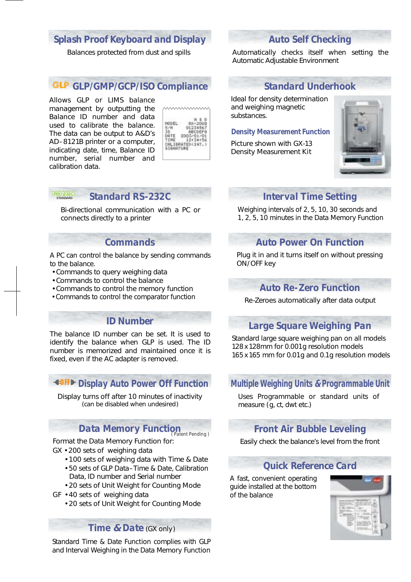#### *Splash Proof Keyboard and Display*

Balances protected from dust and spills

#### *GLP/GMP/GCP/ISO Compliance*

Allows GLP or LIMS balance management by outputting the Balance ID number and data used to calibrate the balance. The data can be output to A&D's AD–8121B printer or a computer, indicating date, time, Balance ID number, serial number and calibration data.

**STANDARD**

|          | σL   |
|----------|------|
|          | ABCD |
|          | u.,  |
|          |      |
|          |      |
| нø<br>ΩE | €    |

#### *Standard RS-232C*

Bi-directional communication with a PC or connects directly to a printer

#### *Commands*

A PC can control the balance by sending commands to the balance.

- Commands to query weighing data
- Commands to control the balance
- Commands to control the memory function
- Commands to control the comparator function

#### *ID Number*

The balance ID number can be set. It is used to identify the balance when GLP is used. The ID number is memorized and maintained once it is fixed, even if the AC adapter is removed.

#### **OFFD** Display Auto Power Off Function

Display turns off after 10 minutes of inactivity (can be disabled when undesired)

### *Data Memory Function ( Patent Pending )*

Format the Data Memory Function for: GX • 200 sets of weighing data

- 100 sets of weighing data with Time & Date
- 50 sets of GLP Data–Time & Date, Calibration Data, ID number and Serial number
- 20 sets of Unit Weight for Counting Mode
- GF 40 sets of weighing data
	- 20 sets of Unit Weight for Counting Mode

#### *Time* **&** *Date* (GX only)

Standard Time & Date Function complies with GLP and Interval Weighing in the Data Memory Function

#### *Auto Self Checking*

Automatically checks itself when setting the Automatic Adjustable Environment

#### *Standard Underhook*

Ideal for density determination and weighing magnetic substances.

#### *Density Measurement Function*

Picture shown with GX-13 Density Measurement Kit



#### *Interval Time Setting*

Weighing intervals of 2, 5, 10, 30 seconds and 1, 2, 5, 10 minutes in the Data Memory Function

#### *Auto Power On Function*

Plug it in and it turns itself on without pressing ON/OFF key

#### *Auto Re-Zero Function*

Re-Zeroes automatically after data output

#### *Large Square Weighing Pan*

Standard large square weighing pan on all models 128 x 128mm for 0.001g resolution models 165 x 165 mm for 0.01g and 0.1g resolution models

#### *Multiple Weighing Units* **&** *Programmable Unit*

Uses Programmable or standard units of measure ( g, ct, dwt etc.)

#### *Front Air Bubble Leveling*

Easily check the balance's level from the front

#### *Quick Reference Card*

A fast, convenient operating guide installed at the bottom of the balance